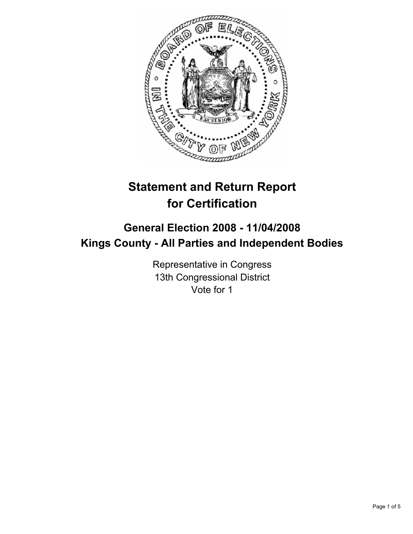

# **Statement and Return Report for Certification**

# **General Election 2008 - 11/04/2008 Kings County - All Parties and Independent Bodies**

Representative in Congress 13th Congressional District Vote for 1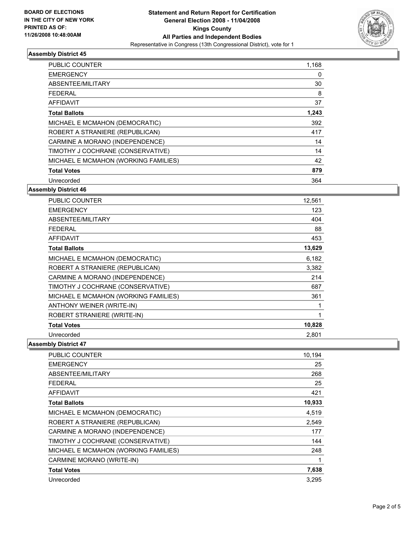

## **Assembly District 45**

| <b>PUBLIC COUNTER</b>                | 1,168 |
|--------------------------------------|-------|
| <b>EMERGENCY</b>                     | 0     |
| ABSENTEE/MILITARY                    | 30    |
| <b>FEDERAL</b>                       | 8     |
| AFFIDAVIT                            | 37    |
| <b>Total Ballots</b>                 | 1,243 |
| MICHAEL E MCMAHON (DEMOCRATIC)       | 392   |
| ROBERT A STRANIERE (REPUBLICAN)      | 417   |
| CARMINE A MORANO (INDEPENDENCE)      | 14    |
| TIMOTHY J COCHRANE (CONSERVATIVE)    | 14    |
| MICHAEL E MCMAHON (WORKING FAMILIES) | 42    |
| <b>Total Votes</b>                   | 879   |
| Unrecorded                           | 364   |

## **Assembly District 46**

| PUBLIC COUNTER                       | 12,561 |
|--------------------------------------|--------|
| <b>EMERGENCY</b>                     | 123    |
| ABSENTEE/MILITARY                    | 404    |
| <b>FEDERAL</b>                       | 88     |
| <b>AFFIDAVIT</b>                     | 453    |
| <b>Total Ballots</b>                 | 13,629 |
| MICHAEL E MCMAHON (DEMOCRATIC)       | 6,182  |
| ROBERT A STRANIERE (REPUBLICAN)      | 3,382  |
| CARMINE A MORANO (INDEPENDENCE)      | 214    |
| TIMOTHY J COCHRANE (CONSERVATIVE)    | 687    |
| MICHAEL E MCMAHON (WORKING FAMILIES) | 361    |
| ANTHONY WEINER (WRITE-IN)            |        |
| ROBERT STRANIERE (WRITE-IN)          |        |
| <b>Total Votes</b>                   | 10,828 |
| Unrecorded                           | 2,801  |

#### **Assembly District 47**

| PUBLIC COUNTER                       | 10,194 |
|--------------------------------------|--------|
| <b>EMERGENCY</b>                     | 25     |
| ABSENTEE/MILITARY                    | 268    |
| <b>FEDERAL</b>                       | 25     |
| <b>AFFIDAVIT</b>                     | 421    |
| <b>Total Ballots</b>                 | 10,933 |
| MICHAEL E MCMAHON (DEMOCRATIC)       | 4,519  |
| ROBERT A STRANIERE (REPUBLICAN)      | 2,549  |
| CARMINE A MORANO (INDEPENDENCE)      | 177    |
| TIMOTHY J COCHRANE (CONSERVATIVE)    | 144    |
| MICHAEL E MCMAHON (WORKING FAMILIES) | 248    |
| CARMINE MORANO (WRITE-IN)            |        |
| <b>Total Votes</b>                   | 7,638  |
| Unrecorded                           | 3,295  |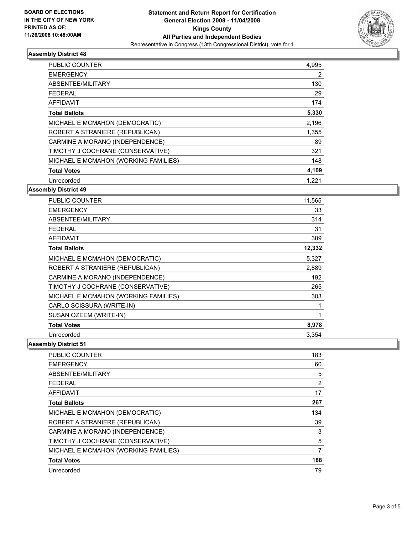

## **Assembly District 48**

| <b>PUBLIC COUNTER</b>                | 4,995 |
|--------------------------------------|-------|
| <b>EMERGENCY</b>                     | 2     |
| ABSENTEE/MILITARY                    | 130   |
| <b>FEDERAL</b>                       | 29    |
| <b>AFFIDAVIT</b>                     | 174   |
| <b>Total Ballots</b>                 | 5,330 |
| MICHAEL E MCMAHON (DEMOCRATIC)       | 2,196 |
| ROBERT A STRANIERE (REPUBLICAN)      | 1,355 |
| CARMINE A MORANO (INDEPENDENCE)      | 89    |
| TIMOTHY J COCHRANE (CONSERVATIVE)    | 321   |
| MICHAEL E MCMAHON (WORKING FAMILIES) | 148   |
| <b>Total Votes</b>                   | 4,109 |
| Unrecorded                           | 1,221 |

## **Assembly District 49**

| PUBLIC COUNTER                       | 11,565 |
|--------------------------------------|--------|
| <b>EMERGENCY</b>                     | 33     |
| ABSENTEE/MILITARY                    | 314    |
| <b>FEDERAL</b>                       | 31     |
| <b>AFFIDAVIT</b>                     | 389    |
| <b>Total Ballots</b>                 | 12,332 |
| MICHAEL E MCMAHON (DEMOCRATIC)       | 5,327  |
| ROBERT A STRANIERE (REPUBLICAN)      | 2,889  |
| CARMINE A MORANO (INDEPENDENCE)      | 192    |
| TIMOTHY J COCHRANE (CONSERVATIVE)    | 265    |
| MICHAEL E MCMAHON (WORKING FAMILIES) | 303    |
| CARLO SCISSURA (WRITE-IN)            |        |
| SUSAN OZEEM (WRITE-IN)               |        |
| <b>Total Votes</b>                   | 8,978  |
| Unrecorded                           | 3,354  |

#### **Assembly District 51**

| <b>PUBLIC COUNTER</b>                | 183 |
|--------------------------------------|-----|
| <b>EMERGENCY</b>                     | 60  |
| ABSENTEE/MILITARY                    | 5   |
| <b>FEDERAL</b>                       | 2   |
| <b>AFFIDAVIT</b>                     | 17  |
| <b>Total Ballots</b>                 | 267 |
| MICHAEL E MCMAHON (DEMOCRATIC)       | 134 |
| ROBERT A STRANIERE (REPUBLICAN)      | 39  |
| CARMINE A MORANO (INDEPENDENCE)      | 3   |
| TIMOTHY J COCHRANE (CONSERVATIVE)    | 5   |
| MICHAEL E MCMAHON (WORKING FAMILIES) |     |
| <b>Total Votes</b>                   | 188 |
| Unrecorded                           | 79  |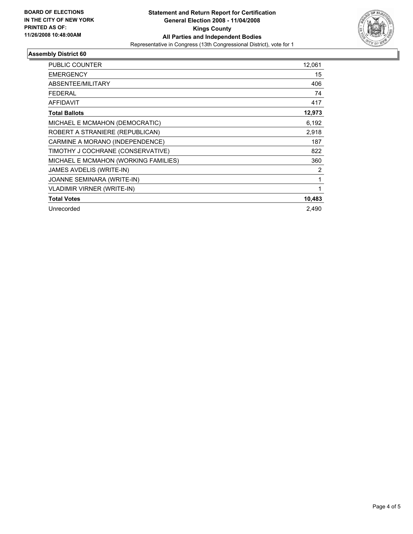

## **Assembly District 60**

| PUBLIC COUNTER                       | 12,061 |
|--------------------------------------|--------|
| <b>EMERGENCY</b>                     | 15     |
| ABSENTEE/MILITARY                    | 406    |
| <b>FEDERAL</b>                       | 74     |
| <b>AFFIDAVIT</b>                     | 417    |
| <b>Total Ballots</b>                 | 12,973 |
| MICHAEL E MCMAHON (DEMOCRATIC)       | 6,192  |
| ROBERT A STRANIERE (REPUBLICAN)      | 2,918  |
| CARMINE A MORANO (INDEPENDENCE)      | 187    |
| TIMOTHY J COCHRANE (CONSERVATIVE)    | 822    |
| MICHAEL E MCMAHON (WORKING FAMILIES) | 360    |
| JAMES AVDELIS (WRITE-IN)             | 2      |
| JOANNE SEMINARA (WRITE-IN)           |        |
| <b>VLADIMIR VIRNER (WRITE-IN)</b>    |        |
| <b>Total Votes</b>                   | 10,483 |
| Unrecorded                           | 2.490  |